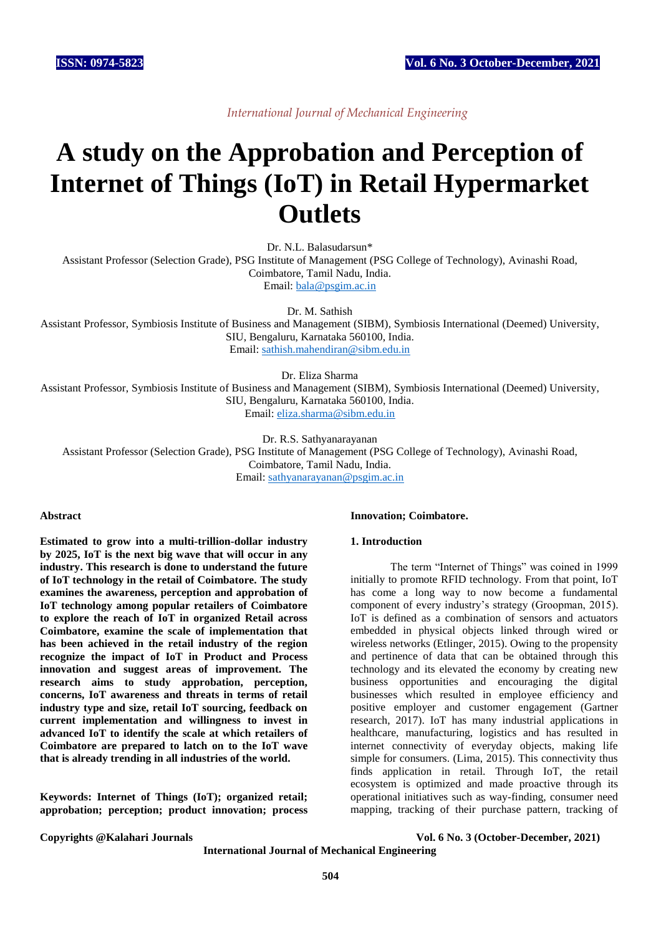*International Journal of Mechanical Engineering*

# **A study on the Approbation and Perception of Internet of Things (IoT) in Retail Hypermarket Outlets**

Dr. N.L. Balasudarsun\*

Assistant Professor (Selection Grade), PSG Institute of Management (PSG College of Technology), Avinashi Road, Coimbatore, Tamil Nadu, India.

Email: [bala@psgim.ac.in](mailto:bala@psgim.ac.in)

Dr. M. Sathish

Assistant Professor, Symbiosis Institute of Business and Management (SIBM), Symbiosis International (Deemed) University, SIU, Bengaluru, Karnataka 560100, India. Email: [sathish.mahendiran@sibm.edu.in](mailto:sathish.mahendiran@sibm.edu.in)

Dr. Eliza Sharma

Assistant Professor, Symbiosis Institute of Business and Management (SIBM), Symbiosis International (Deemed) University, SIU, Bengaluru, Karnataka 560100, India. Email: [eliza.sharma@sibm.edu.in](mailto:eliza.sharma@sibm.edu.in)

Dr. R.S. Sathyanarayanan

Assistant Professor (Selection Grade), PSG Institute of Management (PSG College of Technology), Avinashi Road, Coimbatore, Tamil Nadu, India. Email: [sathyanarayanan@psgim.ac.in](mailto:sathyanarayan@psgim.ac.in)

#### **Abstract**

**Estimated to grow into a multi-trillion-dollar industry by 2025, IoT is the next big wave that will occur in any industry. This research is done to understand the future of IoT technology in the retail of Coimbatore. The study examines the awareness, perception and approbation of IoT technology among popular retailers of Coimbatore to explore the reach of IoT in organized Retail across Coimbatore, examine the scale of implementation that has been achieved in the retail industry of the region recognize the impact of IoT in Product and Process innovation and suggest areas of improvement. The research aims to study approbation, perception, concerns, IoT awareness and threats in terms of retail industry type and size, retail IoT sourcing, feedback on current implementation and willingness to invest in advanced IoT to identify the scale at which retailers of Coimbatore are prepared to latch on to the IoT wave that is already trending in all industries of the world.**

**Keywords: Internet of Things (IoT); organized retail; approbation; perception; product innovation; process** 

# **Innovation; Coimbatore.**

#### **1. Introduction**

The term "Internet of Things" was coined in 1999 initially to promote RFID technology. From that point, IoT has come a long way to now become a fundamental component of every industry's strategy (Groopman, 2015). IoT is defined as a combination of sensors and actuators embedded in physical objects linked through wired or wireless networks (Etlinger, 2015). Owing to the propensity and pertinence of data that can be obtained through this technology and its elevated the economy by creating new business opportunities and encouraging the digital businesses which resulted in employee efficiency and positive employer and customer engagement (Gartner research, 2017). IoT has many industrial applications in healthcare, manufacturing, logistics and has resulted in internet connectivity of everyday objects, making life simple for consumers. (Lima, 2015). This connectivity thus finds application in retail. Through IoT, the retail ecosystem is optimized and made proactive through its operational initiatives such as way-finding, consumer need mapping, tracking of their purchase pattern, tracking of

**Copyrights @Kalahari Journals Vol. 6 No. 3 (October-December, 2021)**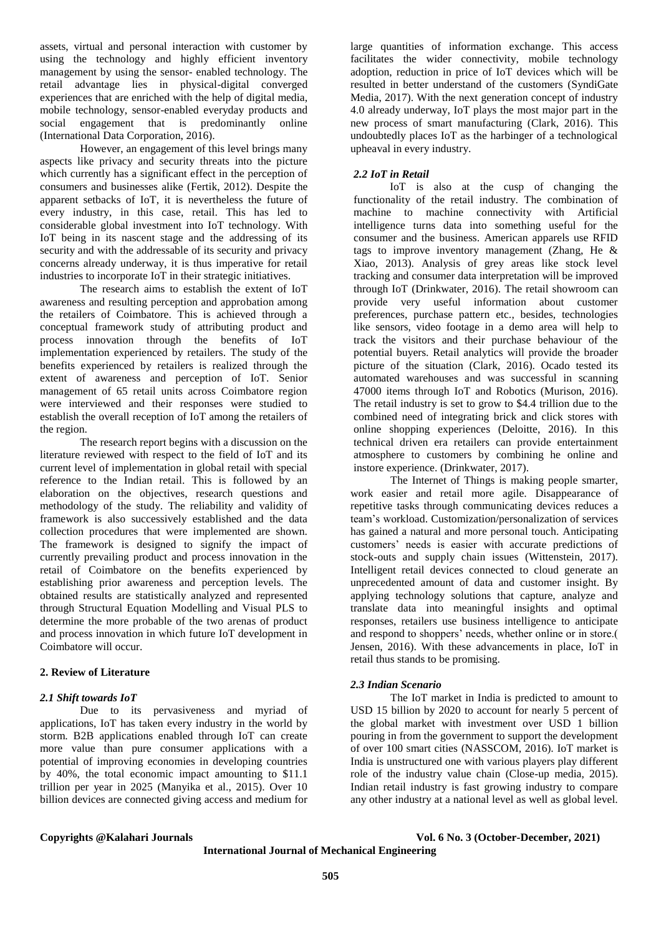assets, virtual and personal interaction with customer by using the technology and highly efficient inventory management by using the sensor- enabled technology. The retail advantage lies in physical-digital converged experiences that are enriched with the help of digital media, mobile technology, sensor-enabled everyday products and social engagement that is predominantly online (International Data Corporation, 2016).

However, an engagement of this level brings many aspects like privacy and security threats into the picture which currently has a significant effect in the perception of consumers and businesses alike (Fertik, 2012). Despite the apparent setbacks of IoT, it is nevertheless the future of every industry, in this case, retail. This has led to considerable global investment into IoT technology. With IoT being in its nascent stage and the addressing of its security and with the addressable of its security and privacy concerns already underway, it is thus imperative for retail industries to incorporate IoT in their strategic initiatives.

The research aims to establish the extent of IoT awareness and resulting perception and approbation among the retailers of Coimbatore. This is achieved through a conceptual framework study of attributing product and process innovation through the benefits of IoT implementation experienced by retailers. The study of the benefits experienced by retailers is realized through the extent of awareness and perception of IoT. Senior management of 65 retail units across Coimbatore region were interviewed and their responses were studied to establish the overall reception of IoT among the retailers of the region.

The research report begins with a discussion on the literature reviewed with respect to the field of IoT and its current level of implementation in global retail with special reference to the Indian retail. This is followed by an elaboration on the objectives, research questions and methodology of the study. The reliability and validity of framework is also successively established and the data collection procedures that were implemented are shown. The framework is designed to signify the impact of currently prevailing product and process innovation in the retail of Coimbatore on the benefits experienced by establishing prior awareness and perception levels. The obtained results are statistically analyzed and represented through Structural Equation Modelling and Visual PLS to determine the more probable of the two arenas of product and process innovation in which future IoT development in Coimbatore will occur.

# **2. Review of Literature**

# *2.1 Shift towards IoT*

Due to its pervasiveness and myriad of applications, IoT has taken every industry in the world by storm. B2B applications enabled through IoT can create more value than pure consumer applications with a potential of improving economies in developing countries by 40%, the total economic impact amounting to \$11.1 trillion per year in 2025 (Manyika et al., 2015). Over 10 billion devices are connected giving access and medium for

large quantities of information exchange. This access facilitates the wider connectivity, mobile technology adoption, reduction in price of IoT devices which will be resulted in better understand of the customers (SyndiGate Media, 2017). With the next generation concept of industry 4.0 already underway, IoT plays the most major part in the new process of smart manufacturing (Clark, 2016). This undoubtedly places IoT as the harbinger of a technological upheaval in every industry.

# *2.2 IoT in Retail*

 IoT is also at the cusp of changing the functionality of the retail industry. The combination of machine to machine connectivity with Artificial intelligence turns data into something useful for the consumer and the business. American apparels use RFID tags to improve inventory management (Zhang, He & Xiao, 2013). Analysis of grey areas like stock level tracking and consumer data interpretation will be improved through IoT (Drinkwater, 2016). The retail showroom can provide very useful information about customer preferences, purchase pattern etc., besides, technologies like sensors, video footage in a demo area will help to track the visitors and their purchase behaviour of the potential buyers. Retail analytics will provide the broader picture of the situation (Clark, 2016). Ocado tested its automated warehouses and was successful in scanning 47000 items through IoT and Robotics (Murison, 2016). The retail industry is set to grow to \$4.4 trillion due to the combined need of integrating brick and click stores with online shopping experiences (Deloitte, 2016). In this technical driven era retailers can provide entertainment atmosphere to customers by combining he online and instore experience. (Drinkwater, 2017).

The Internet of Things is making people smarter, work easier and retail more agile. Disappearance of repetitive tasks through communicating devices reduces a team's workload. Customization/personalization of services has gained a natural and more personal touch. Anticipating customers' needs is easier with accurate predictions of stock-outs and supply chain issues (Wittenstein, 2017). Intelligent retail devices connected to cloud generate an unprecedented amount of data and customer insight. By applying technology solutions that capture, analyze and translate data into meaningful insights and optimal responses, retailers use business intelligence to anticipate and respond to shoppers' needs, whether online or in store.( Jensen, 2016). With these advancements in place, IoT in retail thus stands to be promising.

# *2.3 Indian Scenario*

The IoT market in India is predicted to amount to USD 15 billion by 2020 to account for nearly 5 percent of the global market with investment over USD 1 billion pouring in from the government to support the development of over 100 smart cities (NASSCOM, 2016). IoT market is India is unstructured one with various players play different role of the industry value chain (Close-up media, 2015). Indian retail industry is fast growing industry to compare any other industry at a national level as well as global level.

**Copyrights @Kalahari Journals Vol. 6 No. 3 (October-December, 2021)**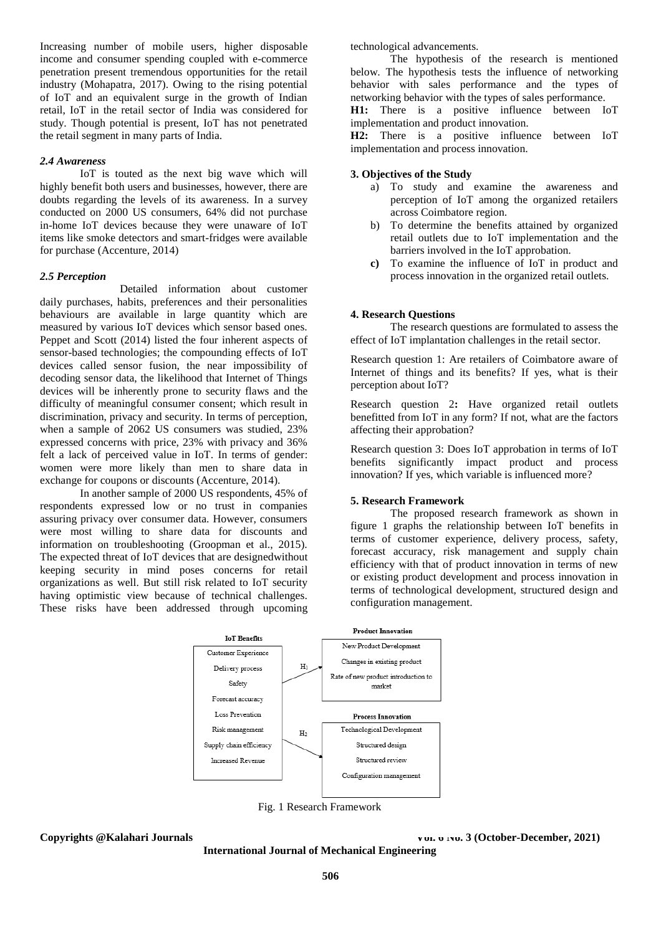Increasing number of mobile users, higher disposable income and consumer spending coupled with e-commerce penetration present tremendous opportunities for the retail industry (Mohapatra, 2017). Owing to the rising potential of IoT and an equivalent surge in the growth of Indian retail, IoT in the retail sector of India was considered for study. Though potential is present, IoT has not penetrated the retail segment in many parts of India.

#### *2.4 Awareness*

IoT is touted as the next big wave which will highly benefit both users and businesses, however, there are doubts regarding the levels of its awareness. In a survey conducted on 2000 US consumers, 64% did not purchase in-home IoT devices because they were unaware of IoT items like smoke detectors and smart-fridges were available for purchase (Accenture, 2014)

#### *2.5 Perception*

Detailed information about customer daily purchases, habits, preferences and their personalities behaviours are available in large quantity which are measured by various IoT devices which sensor based ones. Peppet and Scott (2014) listed the four inherent aspects of sensor-based technologies; the compounding effects of IoT devices called sensor fusion, the near impossibility of decoding sensor data, the likelihood that Internet of Things devices will be inherently prone to security flaws and the difficulty of meaningful consumer consent; which result in discrimination, privacy and security. In terms of perception, when a sample of 2062 US consumers was studied, 23% expressed concerns with price, 23% with privacy and 36% felt a lack of perceived value in IoT. In terms of gender: women were more likely than men to share data in exchange for coupons or discounts (Accenture, 2014).

In another sample of 2000 US respondents, 45% of respondents expressed low or no trust in companies assuring privacy over consumer data. However, consumers were most willing to share data for discounts and information on troubleshooting (Groopman et al., 2015). The expected threat of IoT devices that are designedwithout keeping security in mind poses concerns for retail organizations as well. But still risk related to IoT security having optimistic view because of technical challenges. These risks have been addressed through upcoming

technological advancements.

The hypothesis of the research is mentioned below. The hypothesis tests the influence of networking behavior with sales performance and the types of networking behavior with the types of sales performance. **H1:** There is a positive influence between IoT

implementation and product innovation. **H2:** There is a positive influence between IoT

implementation and process innovation.

### **3. Objectives of the Study**

- a) To study and examine the awareness and perception of IoT among the organized retailers across Coimbatore region.
- b) To determine the benefits attained by organized retail outlets due to IoT implementation and the barriers involved in the IoT approbation.
- **c)** To examine the influence of IoT in product and process innovation in the organized retail outlets.

#### **4. Research Questions**

The research questions are formulated to assess the effect of IoT implantation challenges in the retail sector.

Research question 1: Are retailers of Coimbatore aware of Internet of things and its benefits? If yes, what is their perception about IoT?

Research question 2**:** Have organized retail outlets benefitted from IoT in any form? If not, what are the factors affecting their approbation?

Research question 3: Does IoT approbation in terms of IoT benefits significantly impact product and process innovation? If yes, which variable is influenced more?

#### **5. Research Framework**

The proposed research framework as shown in figure 1 graphs the relationship between IoT benefits in terms of customer experience, delivery process, safety, forecast accuracy, risk management and supply chain efficiency with that of product innovation in terms of new or existing product development and process innovation in terms of technological development, structured design and configuration management.



Fig. 1 Research Framework

**Copyrights @Kalahari Journals Vol. 6 1991 Vol. 6 1991 Vol. 6 1992 Vol. 6 1993 Vol. 8 (October-December, 2021**)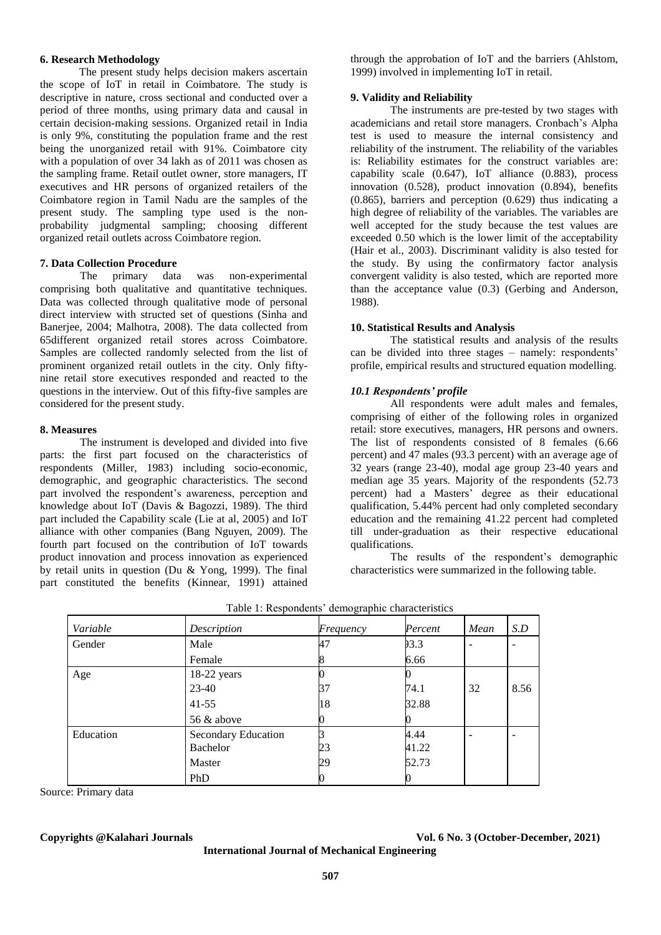# **6. Research Methodology**

The present study helps decision makers ascertain the scope of IoT in retail in Coimbatore. The study is descriptive in nature, cross sectional and conducted over a period of three months, using primary data and causal in certain decision-making sessions. Organized retail in India is only 9%, constituting the population frame and the rest being the unorganized retail with 91%. Coimbatore city with a population of over 34 lakh as of 2011 was chosen as the sampling frame. Retail outlet owner, store managers, IT executives and HR persons of organized retailers of the Coimbatore region in Tamil Nadu are the samples of the present study. The sampling type used is the nonprobability judgmental sampling; choosing different organized retail outlets across Coimbatore region.

### **7. Data Collection Procedure**

The primary data was non-experimental comprising both qualitative and quantitative techniques. Data was collected through qualitative mode of personal direct interview with structed set of questions (Sinha and Banerjee, 2004; Malhotra, 2008). The data collected from 65different organized retail stores across Coimbatore. Samples are collected randomly selected from the list of prominent organized retail outlets in the city. Only fiftynine retail store executives responded and reacted to the questions in the interview. Out of this fifty-five samples are considered for the present study.

#### **8. Measures**

The instrument is developed and divided into five parts: the first part focused on the characteristics of respondents (Miller, 1983) including socio-economic, demographic, and geographic characteristics. The second part involved the respondent's awareness, perception and knowledge about IoT (Davis & Bagozzi, 1989). The third part included the Capability scale (Lie at al, 2005) and IoT alliance with other companies (Bang Nguyen, 2009). The fourth part focused on the contribution of IoT towards product innovation and process innovation as experienced by retail units in question (Du & Yong, 1999). The final part constituted the benefits (Kinnear, 1991) attained through the approbation of IoT and the barriers (Ahlstom, 1999) involved in implementing IoT in retail.

### **9. Validity and Reliability**

The instruments are pre-tested by two stages with academicians and retail store managers. Cronbach's Alpha test is used to measure the internal consistency and reliability of the instrument. The reliability of the variables is: Reliability estimates for the construct variables are: capability scale (0.647), IoT alliance (0.883), process innovation (0.528), product innovation (0.894), benefits (0.865), barriers and perception (0.629) thus indicating a high degree of reliability of the variables. The variables are well accepted for the study because the test values are exceeded 0.50 which is the lower limit of the acceptability (Hair et al., 2003). Discriminant validity is also tested for the study. By using the confirmatory factor analysis convergent validity is also tested, which are reported more than the acceptance value (0.3) (Gerbing and Anderson, 1988).

#### **10. Statistical Results and Analysis**

The statistical results and analysis of the results can be divided into three stages – namely: respondents' profile, empirical results and structured equation modelling.

# *10.1 Respondents' profile*

All respondents were adult males and females, comprising of either of the following roles in organized retail: store executives, managers, HR persons and owners. The list of respondents consisted of 8 females (6.66 percent) and 47 males (93.3 percent) with an average age of 32 years (range 23-40), modal age group 23-40 years and median age 35 years. Majority of the respondents (52.73 percent) had a Masters' degree as their educational qualification, 5.44% percent had only completed secondary education and the remaining 41.22 percent had completed till under-graduation as their respective educational qualifications.

The results of the respondent's demographic characteristics were summarized in the following table.

| Variable  | Description         | $\tilde{\phantom{a}}$<br>Frequency | Percent | Mean | S.D  |
|-----------|---------------------|------------------------------------|---------|------|------|
| Gender    | Male                | 47                                 | 93.3    |      |      |
|           | Female              |                                    | 6.66    |      |      |
| Age       | 18-22 years         |                                    |         |      |      |
|           | 23-40               | 37                                 | 74.1    | 32   | 8.56 |
|           | $41 - 55$           | 18                                 | 32.88   |      |      |
|           | 56 & above          |                                    |         |      |      |
| Education | Secondary Education |                                    | 4.44    |      |      |
|           | Bachelor            | 23                                 | 41.22   |      |      |
|           | Master              | 29                                 | 52.73   |      |      |
|           | PhD                 |                                    |         |      |      |

Table 1: Respondents' demographic characteristics

Source: Primary data

**Copyrights @Kalahari Journals Vol. 6 No. 3 (October-December, 2021)**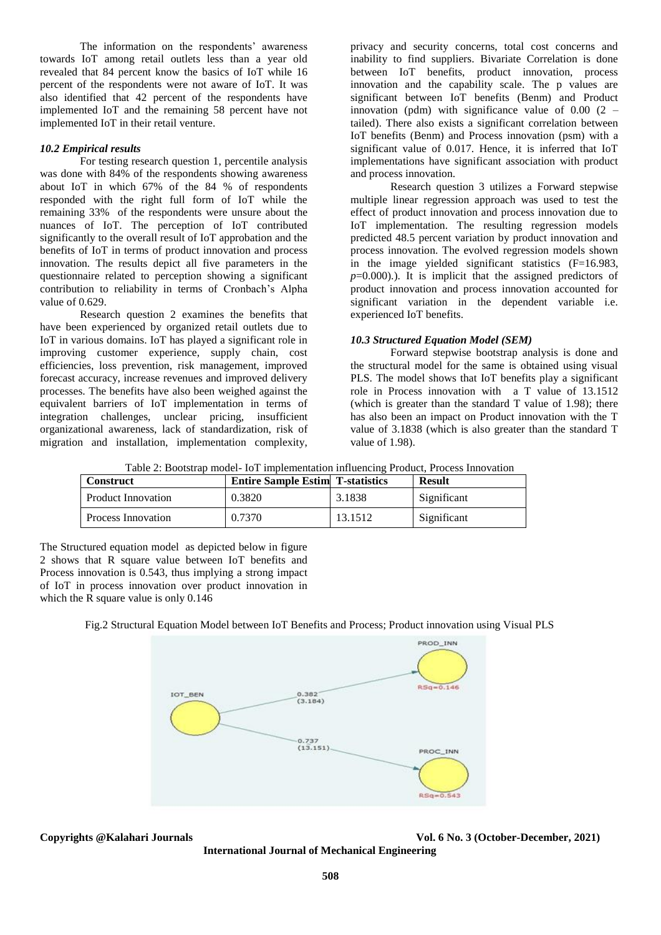The information on the respondents' awareness towards IoT among retail outlets less than a year old revealed that 84 percent know the basics of IoT while 16 percent of the respondents were not aware of IoT. It was also identified that 42 percent of the respondents have implemented IoT and the remaining 58 percent have not implemented IoT in their retail venture.

# *10.2 Empirical results*

For testing research question 1, percentile analysis was done with 84% of the respondents showing awareness about IoT in which 67% of the 84 % of respondents responded with the right full form of IoT while the remaining 33% of the respondents were unsure about the nuances of IoT. The perception of IoT contributed significantly to the overall result of IoT approbation and the benefits of IoT in terms of product innovation and process innovation. The results depict all five parameters in the questionnaire related to perception showing a significant contribution to reliability in terms of Cronbach's Alpha value of 0.629.

Research question 2 examines the benefits that have been experienced by organized retail outlets due to IoT in various domains. IoT has played a significant role in improving customer experience, supply chain, cost efficiencies, loss prevention, risk management, improved forecast accuracy, increase revenues and improved delivery processes. The benefits have also been weighed against the equivalent barriers of IoT implementation in terms of integration challenges, unclear pricing, insufficient organizational awareness, lack of standardization, risk of migration and installation, implementation complexity,

privacy and security concerns, total cost concerns and inability to find suppliers. Bivariate Correlation is done between IoT benefits, product innovation, process innovation and the capability scale. The p values are significant between IoT benefits (Benm) and Product innovation (pdm) with significance value of  $0.00$  (2 – tailed). There also exists a significant correlation between IoT benefits (Benm) and Process innovation (psm) with a significant value of 0.017. Hence, it is inferred that IoT implementations have significant association with product and process innovation.

Research question 3 utilizes a Forward stepwise multiple linear regression approach was used to test the effect of product innovation and process innovation due to IoT implementation. The resulting regression models predicted 48.5 percent variation by product innovation and process innovation. The evolved regression models shown in the image yielded significant statistics (F=16.983,  $p=0.000$ ).). It is implicit that the assigned predictors of product innovation and process innovation accounted for significant variation in the dependent variable i.e. experienced IoT benefits.

# *10.3 Structured Equation Model (SEM)*

Forward stepwise bootstrap analysis is done and the structural model for the same is obtained using visual PLS. The model shows that IoT benefits play a significant role in Process innovation with a T value of 13.1512 (which is greater than the standard T value of 1.98); there has also been an impact on Product innovation with the T value of 3.1838 (which is also greater than the standard T value of 1.98).

Table 2: Bootstrap model- IoT implementation influencing Product, Process Innovation

| <b>Construct</b>   | <b>Entire Sample Estim T-statistics</b> |         | <b>Result</b> |
|--------------------|-----------------------------------------|---------|---------------|
| Product Innovation | 0.3820                                  | 3.1838  | Significant   |
| Process Innovation | 0.7370                                  | 13.1512 | Significant   |

The Structured equation model as depicted below in figure 2 shows that R square value between IoT benefits and Process innovation is 0.543, thus implying a strong impact of IoT in process innovation over product innovation in which the R square value is only 0.146

# Fig.2 Structural Equation Model between IoT Benefits and Process; Product innovation using Visual PLS



**Copyrights @Kalahari Journals Vol. 6 No. 3 (October-December, 2021)**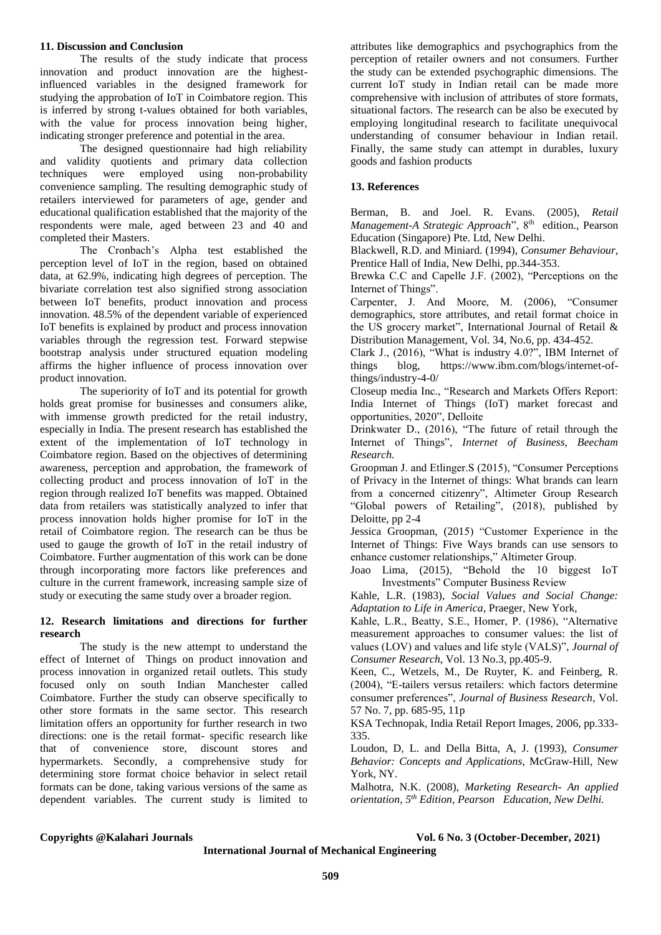### **11. Discussion and Conclusion**

The results of the study indicate that process innovation and product innovation are the highestinfluenced variables in the designed framework for studying the approbation of IoT in Coimbatore region. This is inferred by strong t-values obtained for both variables, with the value for process innovation being higher, indicating stronger preference and potential in the area.

The designed questionnaire had high reliability and validity quotients and primary data collection techniques were employed using non-probability convenience sampling. The resulting demographic study of retailers interviewed for parameters of age, gender and educational qualification established that the majority of the respondents were male, aged between 23 and 40 and completed their Masters.

The Cronbach's Alpha test established the perception level of IoT in the region, based on obtained data, at 62.9%, indicating high degrees of perception. The bivariate correlation test also signified strong association between IoT benefits, product innovation and process innovation. 48.5% of the dependent variable of experienced IoT benefits is explained by product and process innovation variables through the regression test. Forward stepwise bootstrap analysis under structured equation modeling affirms the higher influence of process innovation over product innovation.

The superiority of IoT and its potential for growth holds great promise for businesses and consumers alike, with immense growth predicted for the retail industry, especially in India. The present research has established the extent of the implementation of IoT technology in Coimbatore region. Based on the objectives of determining awareness, perception and approbation, the framework of collecting product and process innovation of IoT in the region through realized IoT benefits was mapped. Obtained data from retailers was statistically analyzed to infer that process innovation holds higher promise for IoT in the retail of Coimbatore region. The research can be thus be used to gauge the growth of IoT in the retail industry of Coimbatore. Further augmentation of this work can be done through incorporating more factors like preferences and culture in the current framework, increasing sample size of study or executing the same study over a broader region.

# **12. Research limitations and directions for further research**

The study is the new attempt to understand the effect of Internet of Things on product innovation and process innovation in organized retail outlets. This study focused only on south Indian Manchester called Coimbatore. Further the study can observe specifically to other store formats in the same sector. This research limitation offers an opportunity for further research in two directions: one is the retail format- specific research like that of convenience store, discount stores and hypermarkets. Secondly, a comprehensive study for determining store format choice behavior in select retail formats can be done, taking various versions of the same as dependent variables. The current study is limited to

attributes like demographics and psychographics from the perception of retailer owners and not consumers. Further the study can be extended psychographic dimensions. The current IoT study in Indian retail can be made more comprehensive with inclusion of attributes of store formats, situational factors. The research can be also be executed by employing longitudinal research to facilitate unequivocal understanding of consumer behaviour in Indian retail. Finally, the same study can attempt in durables, luxury goods and fashion products

# **13. References**

Berman, B. and Joel. R. Evans. (2005), *Retail Management-A Strategic Approach*", 8<sup>th</sup> edition., Pearson Education (Singapore) Pte. Ltd, New Delhi.

Blackwell, R.D. and Miniard. (1994), *Consumer Behaviour*, Prentice Hall of India, New Delhi, pp.344-353.

Brewka C.C and Capelle J.F. (2002), "Perceptions on the Internet of Things".

Carpenter, J. And Moore, M. (2006), "Consumer demographics, store attributes, and retail format choice in the US grocery market", International Journal of Retail & Distribution Management, Vol. 34, No.6, pp. 434-452.

Clark J., (2016), "What is industry 4.0?", IBM Internet of things blog, https://www.ibm.com/blogs/internet-ofthings/industry-4-0/

Closeup media Inc., "Research and Markets Offers Report: India Internet of Things (IoT) market forecast and opportunities, 2020", Delloite

Drinkwater D., (2016), "The future of retail through the Internet of Things", *Internet of Business, Beecham Research.*

Groopman J. and Etlinger.S (2015), "Consumer Perceptions of Privacy in the Internet of things: What brands can learn from a concerned citizenry", Altimeter Group Research "Global powers of Retailing", (2018), published by Deloitte, pp 2-4

Jessica Groopman, (2015) "Customer Experience in the Internet of Things: Five Ways brands can use sensors to enhance customer relationships," Altimeter Group.

Joao Lima, (2015), "Behold the 10 biggest IoT Investments" Computer Business Review

Kahle, L.R. (1983), *Social Values and Social Change: Adaptation to Life in America*, Praeger, New York,

Kahle, L.R., Beatty, S.E., Homer, P. (1986), "Alternative measurement approaches to consumer values: the list of values (LOV) and values and life style (VALS)", *Journal of Consumer Research*, Vol. 13 No.3, pp.405-9.

Keen, C., Wetzels, M., De Ruyter, K. and Feinberg, R. (2004), "E-tailers versus retailers: which factors determine consumer preferences", *Journal of Business Research*, Vol. 57 No. 7, pp. 685-95, 11p

KSA Technopak, India Retail Report Images, 2006, pp.333- 335.

Loudon, D, L. and Della Bitta, A, J. (1993), *Consumer Behavior: Concepts and Applications*, McGraw-Hill, New York, NY.

Malhotra, N.K. (2008), *Marketing Research- An applied orientation, 5 th Edition, Pearson Education, New Delhi.*

**Copyrights @Kalahari Journals Vol. 6 No. 3 (October-December, 2021)**